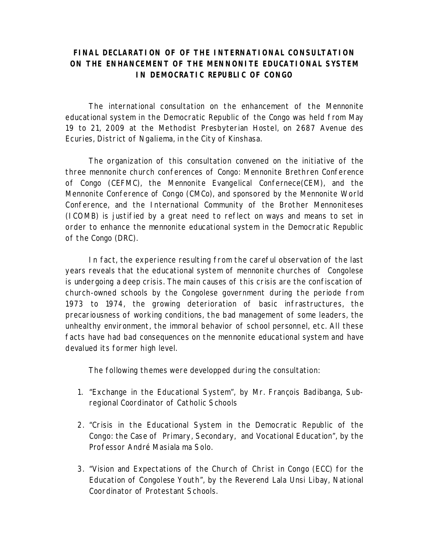## **FINAL DECLARATION OF OF THE INTERNATIONAL CONSULTATION ON THE ENHANCEMENT OF THE MENNONITE EDUCATIONAL SYSTEM IN DEMOCRATIC REPUBLIC OF CONGO**

The international consultation on the enhancement of the Mennonite educational system in the Democratic Republic of the Congo was held from May 19 to 21, 2009 at the Methodist Presbyterian Hostel, on 2687 Avenue des Ecuries, District of Ngaliema, in the City of Kinshasa.

The organization of this consultation convened on the initiative of the three mennonite church conferences of Congo: Mennonite Brethren Conference of Congo (CEFMC), the Mennonite Evangelical Confernece(CEM), and the Mennonite Conference of Congo (CMCo), and sponsored by the Mennonite World Conference, and the International Community of the Brother Mennoniteses (ICOMB) is justified by a great need to reflect on ways and means to set in order to enhance the mennonite educational system in the Democratic Republic of the Congo (DRC).

In fact, the experience resulting from the careful observation of the last years reveals that the educational system of mennonite churches of Congolese is undergoing a deep crisis. The main causes of this crisis are the confiscation of church-owned schools by the Congolese government during the periode from 1973 to 1974, the growing deterioration of basic infrastructures, the precariousness of working conditions, the bad management of some leaders, the unhealthy environment, the immoral behavior of school personnel, etc. All these facts have had bad consequences on the mennonite educational system and have devalued its former high level.

The following themes were developped during the consultation:

- 1. "Exchange in the Educational System", by Mr. François Badibanga, Subregional Coordinator of Catholic Schools
- 2. "Crisis in the Educational System in the Democratic Republic of the Congo: the Case of Primary, Secondary, and Vocational Education", by the Professor André Masiala ma Solo.
- 3. "Vision and Expectations of the Church of Christ in Congo (ECC) for the Education of Congolese Youth", by the Reverend Lala Unsi Libay, National Coordinator of Protestant Schools.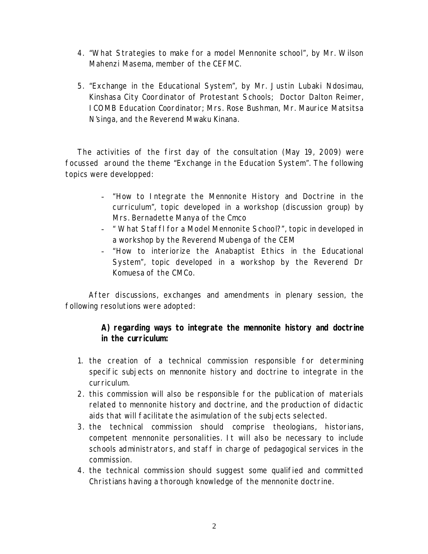- 4. "What Strategies to make for a model Mennonite school", by Mr. Wilson Mahenzi Masema, member of the CEFMC.
- 5. "Exchange in the Educational System", by Mr. Justin Lubaki Ndosimau, Kinshasa City Coordinator of Protestant Schools; Doctor Dalton Reimer, ICOMB Education Coordinator; Mrs. Rose Bushman, Mr. Maurice Matsitsa N'singa, and the Reverend Mwaku Kinana.

The activities of the first day of the consultation (May 19, 2009) were focussed around the theme "Exchange in the Education System". The following topics were developped:

- "How to Integrate the Mennonite History and Doctrine in the curriculum", topic developed in a workshop (discussion group) by Mrs. Bernadette Manya of the Cmco
- " What Staffl for a Model Mennonite School?", topic in developed in a workshop by the Reverend Mubenga of the CEM
- "How to interiorize the Anabaptist Ethics in the Educational System", topic developed in a workshop by the Reverend Dr Komuesa of the CMCo.

After discussions, exchanges and amendments in plenary session, the following resolutions were adopted:

> **A) regarding ways to integrate the mennonite history and doctrine in the curriculum:**

- 1. the creation of a technical commission responsible for determining specific subjects on mennonite history and doctrine to integrate in the curriculum.
- 2. this commission will also be responsible for the publication of materials related to mennonite history and doctrine, and the production of didactic aids that will facilitate the asimulation of the subjects selected.
- 3. the technical commission should comprise theologians, historians, competent mennonite personalities. It will also be necessary to include schools administrators, and staff in charge of pedagogical services in the commission.
- 4. the technical commission should suggest some qualified and committed Christians having a thorough knowledge of the mennonite doctrine.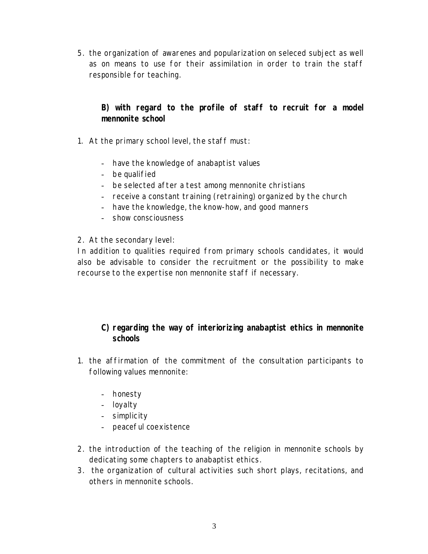5. the organization of awarenes and popularization on seleced subject as well as on means to use for their assimilation in order to train the staff responsible for teaching.

**B) with regard to the profile of staff to recruit for a model mennonite school**

- 1. At the primary school level, the staff must:
	- have the knowledge of anabaptist values
	- be qualified
	- be selected after a test among mennonite christians
	- receive a constant training (retraining) organized by the church
	- have the knowledge, the know-how, and good manners
	- show consciousness
- 2. At the secondary level:

In addition to qualities required from primary schools candidates, it would also be advisable to consider the recruitment or the possibility to make recourse to the expertise non mennonite staff if necessary.

- **C) regarding the way of interiorizing anabaptist ethics in mennonite schools**
- 1. the affirmation of the commitment of the consultation participants to following values mennonite:
	- honesty
	- loyalty
	- simplicity
	- peaceful coexistence
- 2. the introduction of the teaching of the religion in mennonite schools by dedicating some chapters to anabaptist ethics.
- 3. the organization of cultural activities such short plays, recitations, and others in mennonite schools.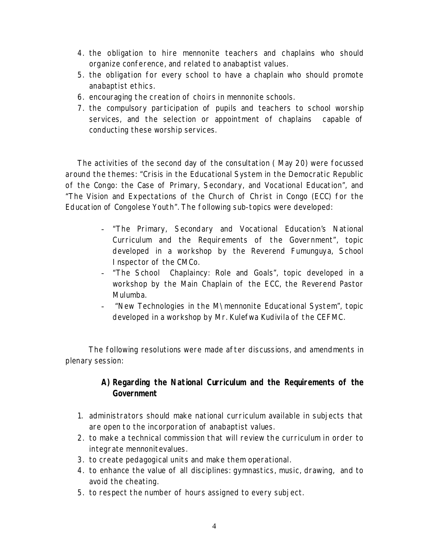- 4. the obligation to hire mennonite teachers and chaplains who should organize conference, and related to anabaptist values.
- 5. the obligation for every school to have a chaplain who should promote anabaptist ethics.
- 6. encouraging the creation of choirs in mennonite schools.
- 7. the compulsory participation of pupils and teachers to school worship services, and the selection or appointment of chaplains capable of conducting these worship services.

The activities of the second day of the consultation ( May 20) were focussed around the themes: "Crisis in the Educational System in the Democratic Republic of the Congo: the Case of Primary, Secondary, and Vocational Education", and "The Vision and Expectations of the Church of Christ in Congo (ECC) for the Education of Congolese Youth". The following sub-topics were developed:

- "The Primary, Secondary and Vocational Education's National Curriculum and the Requirements of the Government", topic developed in a workshop by the Reverend Fumunguya, School Inspector of the CMCo.
- "The School Chaplaincy: Role and Goals", topic developed in a workshop by the Main Chaplain of the ECC, the Reverend Pastor Mulumba.
- "New Technologies in the M\mennonite Educational System", topic developed in a workshop by Mr. Kulefwa Kudivila of the CEFMC.

The following resolutions were made after discussions, and amendments in plenary session:

## **A) Regarding the National Curriculum and the Requirements of the Government**

- 1. administrators should make national curriculum available in subjects that are open to the incorporation of anabaptist values.
- 2. to make a technical commission that will review the curriculum in order to integrate mennonitevalues.
- 3. to create pedagogical units and make them operational.
- 4. to enhance the value of all disciplines: gymnastics, music, drawing, and to avoid the cheating.
- 5. to respect the number of hours assigned to every subject.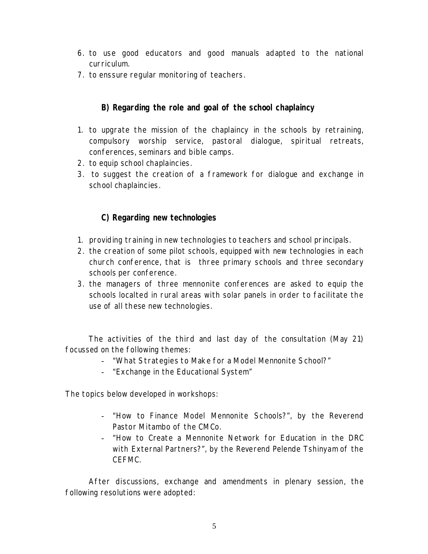- 6. to use good educators and good manuals adapted to the national curriculum.
- 7. to enssure regular monitoring of teachers.

**B) Regarding the role and goal of the school chaplaincy**

- 1. to upgrate the mission of the chaplaincy in the schools by retraining, compulsory worship service, pastoral dialogue, spiritual retreats, conferences, seminars and bible camps.
- 2. to equip school chaplaincies.
- 3. to suggest the creation of a framework for dialogue and exchange in school chaplaincies.

## **C) Regarding new technologies**

- 1. providing training in new technologies to teachers and school principals.
- 2. the creation of some pilot schools, equipped with new technologies in each church conference, that is three primary schools and three secondary schools per conference.
- 3. the managers of three mennonite conferences are asked to equip the schools localted in rural areas with solar panels in order to facilitate the use of all these new technologies.

The activities of the third and last day of the consultation (May 21) focussed on the following themes:

- "What Strategies to Make for a Model Mennonite School?"
- "Exchange in the Educational System"

The topics below developed in workshops:

- "How to Finance Model Mennonite Schools?", by the Reverend Pastor Mitambo of the CMCo.
- "How to Create a Mennonite Network for Education in the DRC with External Partners?", by the Reverend Pelende Tshinyam of the CEFMC.

After discussions, exchange and amendments in plenary session, the following resolutions were adopted: